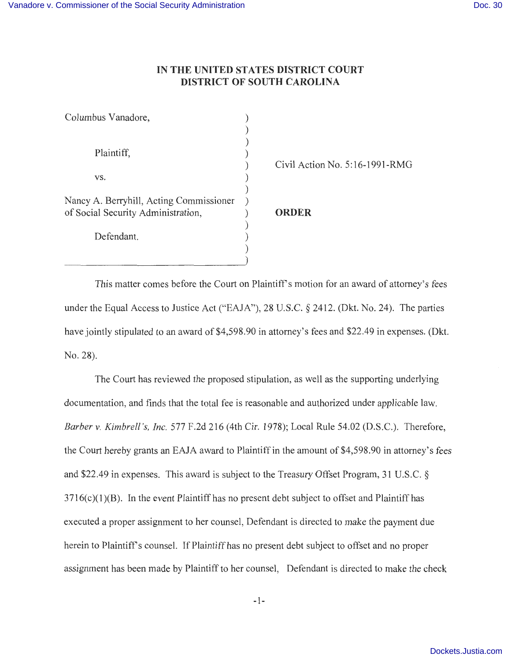## **IN THE UNITED STATES DISTRICT COURT DISTRICT OF SOUTH CAROLINA**

| Columbus Vanadore,                                                            |  |
|-------------------------------------------------------------------------------|--|
|                                                                               |  |
| Plaintiff,                                                                    |  |
| VS.                                                                           |  |
| Nancy A. Berryhill, Acting Commissioner<br>of Social Security Administration, |  |
| Defendant.                                                                    |  |
|                                                                               |  |

Civil Action No. 5:16-1991-RMG

## **ORDER**

This matter comes before the Court on Plaintiff's motion for an award of attorney's fees under the Equal Access to Justice Act ("EAJA"), 28 U.S.C. § 2412. (Dkt. No. 24). The parties have jointly stipulated to an award of \$4,598.90 in attorney's fees and \$22.49 in expenses. (Dkt. No. 28).

The Court has reviewed the proposed stipulation, as well as the supporting underlying documentation, and finds that the total fee is reasonable and authorized under applicable law. *Barber v. Kimbrell's, Inc.* 577 F.2d 216 (4th Cir. 1978); Local Rule 54.02 (D.S.C.). Therefore, the Court hereby grants an EAJA award to Plaintiff in the amount of \$4,598.90 in attorney's fees and \$22.49 in expenses. This award is subject to the Treasury Offset Program, 31 U.S.C. §  $3716(c)(1)(B)$ . In the event Plaintiff has no present debt subject to offset and Plaintiff has executed a proper assignment to her counsel, Defendant is directed to make the payment due herein to Plaintiff's counsel. If Plaintiff has no present debt subject to offset and no proper assignment has been made by Plaintiff to her counsel, Defendant is directed to make the check